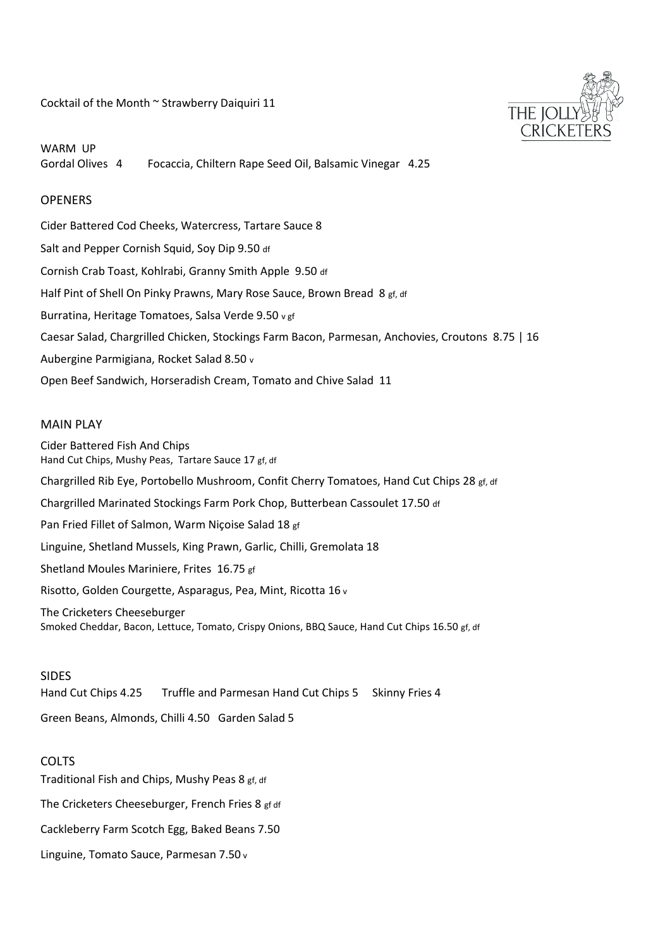Cocktail of the Month ~ Strawberry Daiquiri 11

THE JOL **CRICKE** 

WARM UP Gordal Olives 4 Focaccia, Chiltern Rape Seed Oil, Balsamic Vinegar 4.25

## **OPENERS**

Cider Battered Cod Cheeks, Watercress, Tartare Sauce 8 Salt and Pepper Cornish Squid, Soy Dip 9.50 df Cornish Crab Toast, Kohlrabi, Granny Smith Apple 9.50 df Half Pint of Shell On Pinky Prawns, Mary Rose Sauce, Brown Bread 8 gf, df Burratina, Heritage Tomatoes, Salsa Verde 9.50 v gf Caesar Salad, Chargrilled Chicken, Stockings Farm Bacon, Parmesan, Anchovies, Croutons 8.75 | 16 Aubergine Parmigiana, Rocket Salad 8.50 v Open Beef Sandwich, Horseradish Cream, Tomato and Chive Salad 11

## MAIN PLAY

Cider Battered Fish And Chips Hand Cut Chips, Mushy Peas, Tartare Sauce 17 gf, df Chargrilled Rib Eye, Portobello Mushroom, Confit Cherry Tomatoes, Hand Cut Chips 28 gf, df Chargrilled Marinated Stockings Farm Pork Chop, Butterbean Cassoulet 17.50 df Pan Fried Fillet of Salmon, Warm Niçoise Salad 18 gf Linguine, Shetland Mussels, King Prawn, Garlic, Chilli, Gremolata 18 Shetland Moules Mariniere, Frites 16.75 gf Risotto, Golden Courgette, Asparagus, Pea, Mint, Ricotta 16 v The Cricketers Cheeseburger Smoked Cheddar, Bacon, Lettuce, Tomato, Crispy Onions, BBQ Sauce, Hand Cut Chips 16.50 gf, df

### SIDES

Hand Cut Chips 4.25 Truffle and Parmesan Hand Cut Chips 5 Skinny Fries 4

Green Beans, Almonds, Chilli 4.50 Garden Salad 5

### COLTS

Traditional Fish and Chips, Mushy Peas 8 gf, df The Cricketers Cheeseburger, French Fries 8 gf df Cackleberry Farm Scotch Egg, Baked Beans 7.50 Linguine, Tomato Sauce, Parmesan 7.50 v